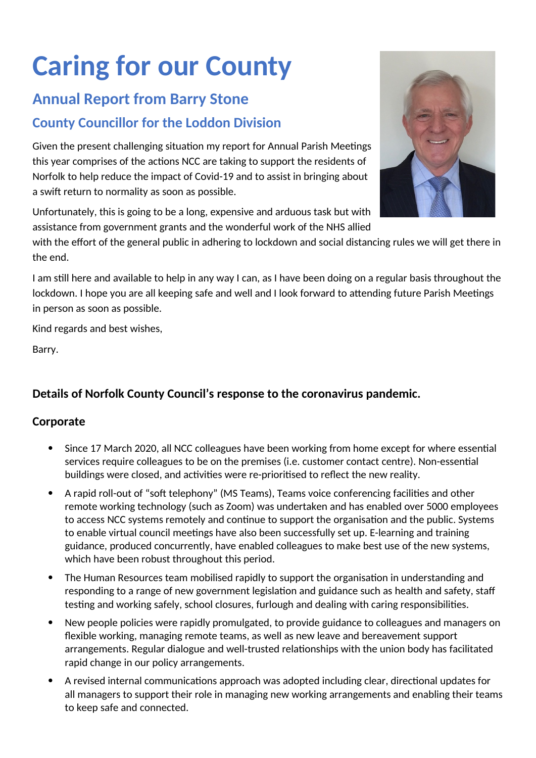# **Caring for our County**

## **Annual Report from Barry Stone**

## **County Councillor for the Loddon Division**

Given the present challenging situation my report for Annual Parish Meetings this year comprises of the actions NCC are taking to support the residents of Norfolk to help reduce the impact of Covid-19 and to assist in bringing about a swift return to normality as soon as possible.

Unfortunately, this is going to be a long, expensive and arduous task but with assistance from government grants and the wonderful work of the NHS allied

with the effort of the general public in adhering to lockdown and social distancing rules we will get there in the end.

I am still here and available to help in any way I can, as I have been doing on a regular basis throughout the lockdown. I hope you are all keeping safe and well and I look forward to attending future Parish Meetings in person as soon as possible.

Kind regards and best wishes,

Barry.

### **Details of Norfolk County Council's response to the coronavirus pandemic.**

#### **Corporate**

- Since 17 March 2020, all NCC colleagues have been working from home except for where essential services require colleagues to be on the premises (i.e. customer contact centre). Non-essential buildings were closed, and activities were re-prioritised to reflect the new reality.
- A rapid roll-out of "soft telephony" (MS Teams), Teams voice conferencing facilities and other remote working technology (such as Zoom) was undertaken and has enabled over 5000 employees to access NCC systems remotely and continue to support the organisation and the public. Systems to enable virtual council meetings have also been successfully set up. E-learning and training guidance, produced concurrently, have enabled colleagues to make best use of the new systems, which have been robust throughout this period.
- The Human Resources team mobilised rapidly to support the organisation in understanding and responding to a range of new government legislation and guidance such as health and safety, staff testing and working safely, school closures, furlough and dealing with caring responsibilities.
- New people policies were rapidly promulgated, to provide guidance to colleagues and managers on flexible working, managing remote teams, as well as new leave and bereavement support arrangements. Regular dialogue and well-trusted relationships with the union body has facilitated rapid change in our policy arrangements.
- A revised internal communications approach was adopted including clear, directional updates for all managers to support their role in managing new working arrangements and enabling their teams to keep safe and connected.

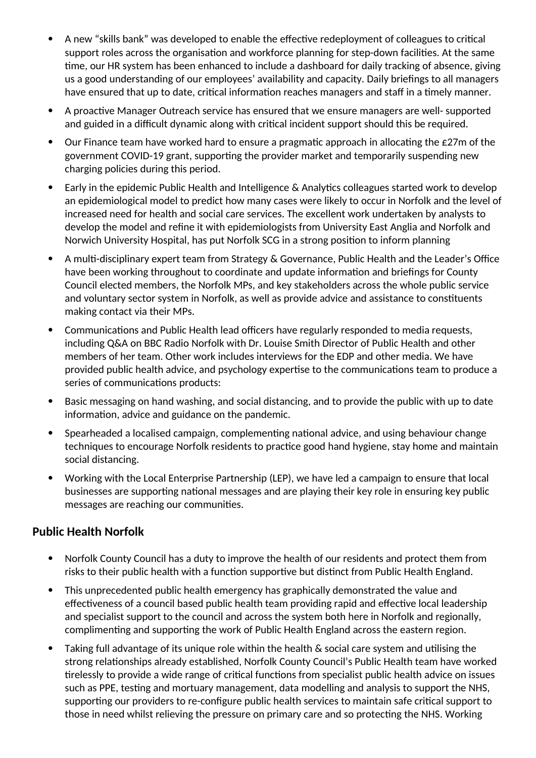- A new "skills bank" was developed to enable the effective redeployment of colleagues to critical support roles across the organisation and workforce planning for step-down facilities. At the same time, our HR system has been enhanced to include a dashboard for daily tracking of absence, giving us a good understanding of our employees' availability and capacity. Daily briefings to all managers have ensured that up to date, critical information reaches managers and staff in a timely manner.
- A proactive Manager Outreach service has ensured that we ensure managers are well- supported and guided in a difficult dynamic along with critical incident support should this be required.
- Our Finance team have worked hard to ensure a pragmatic approach in allocating the £27m of the government COVID-19 grant, supporting the provider market and temporarily suspending new charging policies during this period.
- Early in the epidemic Public Health and Intelligence & Analytics colleagues started work to develop an epidemiological model to predict how many cases were likely to occur in Norfolk and the level of increased need for health and social care services. The excellent work undertaken by analysts to develop the model and refine it with epidemiologists from University East Anglia and Norfolk and Norwich University Hospital, has put Norfolk SCG in a strong position to inform planning
- A multi-disciplinary expert team from Strategy & Governance, Public Health and the Leader's Office have been working throughout to coordinate and update information and briefings for County Council elected members, the Norfolk MPs, and key stakeholders across the whole public service and voluntary sector system in Norfolk, as well as provide advice and assistance to constituents making contact via their MPs.
- Communications and Public Health lead officers have regularly responded to media requests, including Q&A on BBC Radio Norfolk with Dr. Louise Smith Director of Public Health and other members of her team. Other work includes interviews for the EDP and other media. We have provided public health advice, and psychology expertise to the communications team to produce a series of communications products:
- Basic messaging on hand washing, and social distancing, and to provide the public with up to date information, advice and guidance on the pandemic.
- Spearheaded a localised campaign, complementing national advice, and using behaviour change techniques to encourage Norfolk residents to practice good hand hygiene, stay home and maintain social distancing.
- Working with the Local Enterprise Partnership (LEP), we have led a campaign to ensure that local businesses are supporting national messages and are playing their key role in ensuring key public messages are reaching our communities.

#### **Public Health Norfolk**

- Norfolk County Council has a duty to improve the health of our residents and protect them from risks to their public health with a function supportive but distinct from Public Health England.
- This unprecedented public health emergency has graphically demonstrated the value and effectiveness of a council based public health team providing rapid and effective local leadership and specialist support to the council and across the system both here in Norfolk and regionally, complimenting and supporting the work of Public Health England across the eastern region.
- Taking full advantage of its unique role within the health & social care system and utilising the strong relationships already established, Norfolk County Council's Public Health team have worked tirelessly to provide a wide range of critical functions from specialist public health advice on issues such as PPE, testing and mortuary management, data modelling and analysis to support the NHS, supporting our providers to re-configure public health services to maintain safe critical support to those in need whilst relieving the pressure on primary care and so protecting the NHS. Working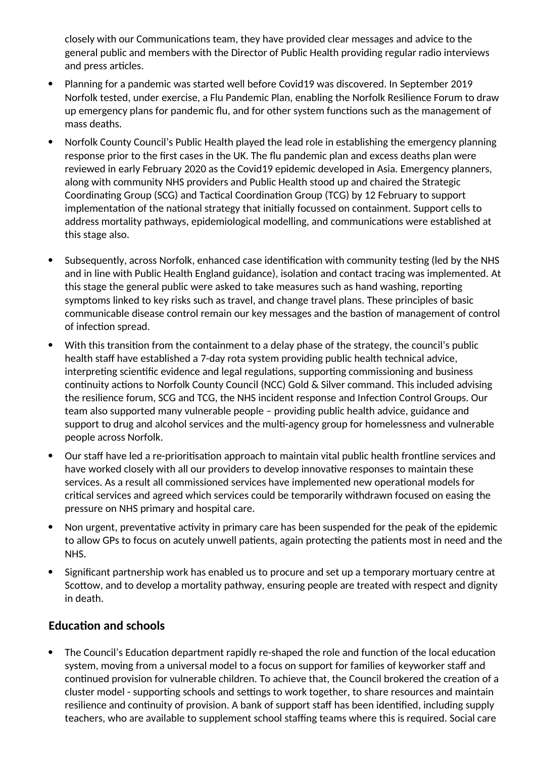closely with our Communications team, they have provided clear messages and advice to the general public and members with the Director of Public Health providing regular radio interviews and press articles.

- Planning for a pandemic was started well before Covid19 was discovered. In September 2019 Norfolk tested, under exercise, a Flu Pandemic Plan, enabling the Norfolk Resilience Forum to draw up emergency plans for pandemic flu, and for other system functions such as the management of mass deaths.
- Norfolk County Council's Public Health played the lead role in establishing the emergency planning response prior to the first cases in the UK. The flu pandemic plan and excess deaths plan were reviewed in early February 2020 as the Covid19 epidemic developed in Asia. Emergency planners, along with community NHS providers and Public Health stood up and chaired the Strategic Coordinating Group (SCG) and Tactical Coordination Group (TCG) by 12 February to support implementation of the national strategy that initially focussed on containment. Support cells to address mortality pathways, epidemiological modelling, and communications were established at this stage also.
- Subsequently, across Norfolk, enhanced case identification with community testing (led by the NHS and in line with Public Health England guidance), isolation and contact tracing was implemented. At this stage the general public were asked to take measures such as hand washing, reporting symptoms linked to key risks such as travel, and change travel plans. These principles of basic communicable disease control remain our key messages and the bastion of management of control of infection spread.
- With this transition from the containment to a delay phase of the strategy, the council's public health staff have established a 7-day rota system providing public health technical advice, interpreting scientific evidence and legal regulations, supporting commissioning and business continuity actions to Norfolk County Council (NCC) Gold & Silver command. This included advising the resilience forum, SCG and TCG, the NHS incident response and Infection Control Groups. Our team also supported many vulnerable people – providing public health advice, guidance and support to drug and alcohol services and the multi-agency group for homelessness and vulnerable people across Norfolk.
- Our staff have led a re-prioritisation approach to maintain vital public health frontline services and have worked closely with all our providers to develop innovative responses to maintain these services. As a result all commissioned services have implemented new operational models for critical services and agreed which services could be temporarily withdrawn focused on easing the pressure on NHS primary and hospital care.
- Non urgent, preventative activity in primary care has been suspended for the peak of the epidemic to allow GPs to focus on acutely unwell patients, again protecting the patients most in need and the NHS.
- Significant partnership work has enabled us to procure and set up a temporary mortuary centre at Scottow, and to develop a mortality pathway, ensuring people are treated with respect and dignity in death.

#### **Education and schools**

 The Council's Education department rapidly re-shaped the role and function of the local education system, moving from a universal model to a focus on support for families of keyworker staff and continued provision for vulnerable children. To achieve that, the Council brokered the creation of a cluster model - supporting schools and settings to work together, to share resources and maintain resilience and continuity of provision. A bank of support staff has been identified, including supply teachers, who are available to supplement school staffing teams where this is required. Social care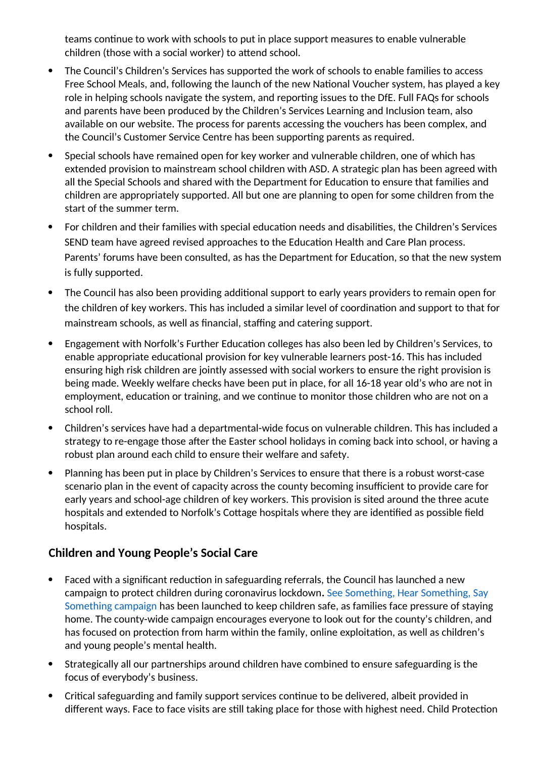teams continue to work with schools to put in place support measures to enable vulnerable children (those with a social worker) to attend school.

- The Council's Children's Services has supported the work of schools to enable families to access Free School Meals, and, following the launch of the new National Voucher system, has played a key role in helping schools navigate the system, and reporting issues to the DfE. Full FAQs for schools and parents have been produced by the Children's Services Learning and Inclusion team, also available on our website. The process for parents accessing the vouchers has been complex, and the Council's Customer Service Centre has been supporting parents as required.
- Special schools have remained open for key worker and vulnerable children, one of which has extended provision to mainstream school children with ASD. A strategic plan has been agreed with all the Special Schools and shared with the Department for Education to ensure that families and children are appropriately supported. All but one are planning to open for some children from the start of the summer term.
- For children and their families with special education needs and disabilities, the Children's Services SEND team have agreed revised approaches to the Education Health and Care Plan process. Parents' forums have been consulted, as has the Department for Education, so that the new system is fully supported.
- The Council has also been providing additional support to early years providers to remain open for the children of key workers. This has included a similar level of coordination and support to that for mainstream schools, as well as financial, staffing and catering support.
- Engagement with Norfolk's Further Education colleges has also been led by Children's Services, to enable appropriate educational provision for key vulnerable learners post-16. This has included ensuring high risk children are jointly assessed with social workers to ensure the right provision is being made. Weekly welfare checks have been put in place, for all 16-18 year old's who are not in employment, education or training, and we continue to monitor those children who are not on a school roll.
- Children's services have had a departmental-wide focus on vulnerable children. This has included a strategy to re-engage those after the Easter school holidays in coming back into school, or having a robust plan around each child to ensure their welfare and safety.
- Planning has been put in place by Children's Services to ensure that there is a robust worst-case scenario plan in the event of capacity across the county becoming insufficient to provide care for early years and school-age children of key workers. This provision is sited around the three acute hospitals and extended to Norfolk's Cottage hospitals where they are identified as possible field hospitals.

#### **Children and Young People's Social Care**

- Faced with a significant reduction in safeguarding referrals, the Council has launched a new campaign to protect children during coronavirus lockdown**.** See Something, Hear Something, Say Something campaign has been launched to keep children safe, as families face pressure of staying home. The county-wide campaign encourages everyone to look out for the county's children, and has focused on protection from harm within the family, online exploitation, as well as children's and young people's mental health.
- Strategically all our partnerships around children have combined to ensure safeguarding is the focus of everybody's business.
- Critical safeguarding and family support services continue to be delivered, albeit provided in different ways. Face to face visits are still taking place for those with highest need. Child Protection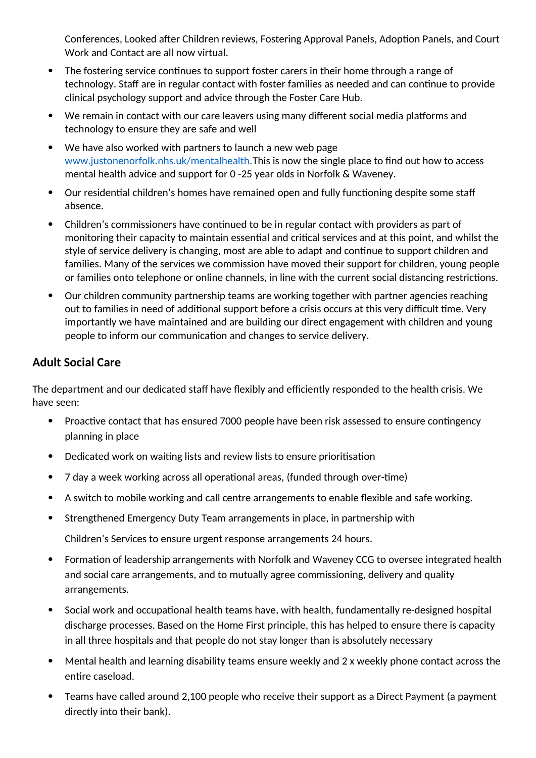Conferences, Looked after Children reviews, Fostering Approval Panels, Adoption Panels, and Court Work and Contact are all now virtual.

- The fostering service continues to support foster carers in their home through a range of technology. Staff are in regular contact with foster families as needed and can continue to provide clinical psychology support and advice through the Foster Care Hub.
- We remain in contact with our care leavers using many different social media platforms and technology to ensure they are safe and well
- We have also worked with partners to launch a new web page www.justonenorfolk.nhs.uk/mentalhealth.This is now the single place to find out how to access mental health advice and support for 0 -25 year olds in Norfolk & Waveney.
- Our residential children's homes have remained open and fully functioning despite some staff absence.
- Children's commissioners have continued to be in regular contact with providers as part of monitoring their capacity to maintain essential and critical services and at this point, and whilst the style of service delivery is changing, most are able to adapt and continue to support children and families. Many of the services we commission have moved their support for children, young people or families onto telephone or online channels, in line with the current social distancing restrictions.
- Our children community partnership teams are working together with partner agencies reaching out to families in need of additional support before a crisis occurs at this very difficult time. Very importantly we have maintained and are building our direct engagement with children and young people to inform our communication and changes to service delivery.

#### **Adult Social Care**

The department and our dedicated staff have flexibly and efficiently responded to the health crisis. We have seen:

- Proactive contact that has ensured 7000 people have been risk assessed to ensure contingency planning in place
- Dedicated work on waiting lists and review lists to ensure prioritisation
- 7 day a week working across all operational areas, (funded through over-time)
- A switch to mobile working and call centre arrangements to enable flexible and safe working.
- Strengthened Emergency Duty Team arrangements in place, in partnership with

Children's Services to ensure urgent response arrangements 24 hours.

- Formation of leadership arrangements with Norfolk and Waveney CCG to oversee integrated health and social care arrangements, and to mutually agree commissioning, delivery and quality arrangements.
- Social work and occupational health teams have, with health, fundamentally re-designed hospital discharge processes. Based on the Home First principle, this has helped to ensure there is capacity in all three hospitals and that people do not stay longer than is absolutely necessary
- Mental health and learning disability teams ensure weekly and 2 x weekly phone contact across the entire caseload.
- Teams have called around 2,100 people who receive their support as a Direct Payment (a payment directly into their bank).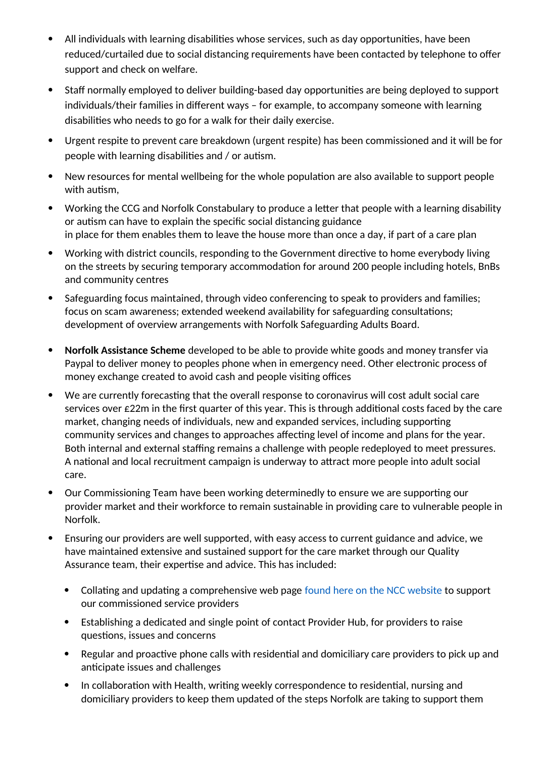- All individuals with learning disabilities whose services, such as day opportunities, have been reduced/curtailed due to social distancing requirements have been contacted by telephone to offer support and check on welfare.
- Staff normally employed to deliver building-based day opportunities are being deployed to support individuals/their families in different ways – for example, to accompany someone with learning disabilities who needs to go for a walk for their daily exercise.
- Urgent respite to prevent care breakdown (urgent respite) has been commissioned and it will be for people with learning disabilities and / or autism.
- New resources for mental wellbeing for the whole population are also available to support people with autism,
- Working the CCG and Norfolk Constabulary to produce a letter that people with a learning disability or autism can have to explain the specific social distancing guidance in place for them enables them to leave the house more than once a day, if part of a care plan
- Working with district councils, responding to the Government directive to home everybody living on the streets by securing temporary accommodation for around 200 people including hotels, BnBs and community centres
- Safeguarding focus maintained, through video conferencing to speak to providers and families; focus on scam awareness; extended weekend availability for safeguarding consultations; development of overview arrangements with Norfolk Safeguarding Adults Board.
- **Norfolk Assistance Scheme** developed to be able to provide white goods and money transfer via Paypal to deliver money to peoples phone when in emergency need. Other electronic process of money exchange created to avoid cash and people visiting offices
- We are currently forecasting that the overall response to coronavirus will cost adult social care services over £22m in the first quarter of this year. This is through additional costs faced by the care market, changing needs of individuals, new and expanded services, including supporting community services and changes to approaches affecting level of income and plans for the year. Both internal and external staffing remains a challenge with people redeployed to meet pressures. A national and local recruitment campaign is underway to attract more people into adult social care.
- Our Commissioning Team have been working determinedly to ensure we are supporting our provider market and their workforce to remain sustainable in providing care to vulnerable people in Norfolk.
- Ensuring our providers are well supported, with easy access to current guidance and advice, we have maintained extensive and sustained support for the care market through our Quality Assurance team, their expertise and advice. This has included:
	- Collating and updating a comprehensive web page found here on the NCC website to support our commissioned service providers
	- Establishing a dedicated and single point of contact Provider Hub, for providers to raise questions, issues and concerns
	- Regular and proactive phone calls with residential and domiciliary care providers to pick up and anticipate issues and challenges
	- In collaboration with Health, writing weekly correspondence to residential, nursing and domiciliary providers to keep them updated of the steps Norfolk are taking to support them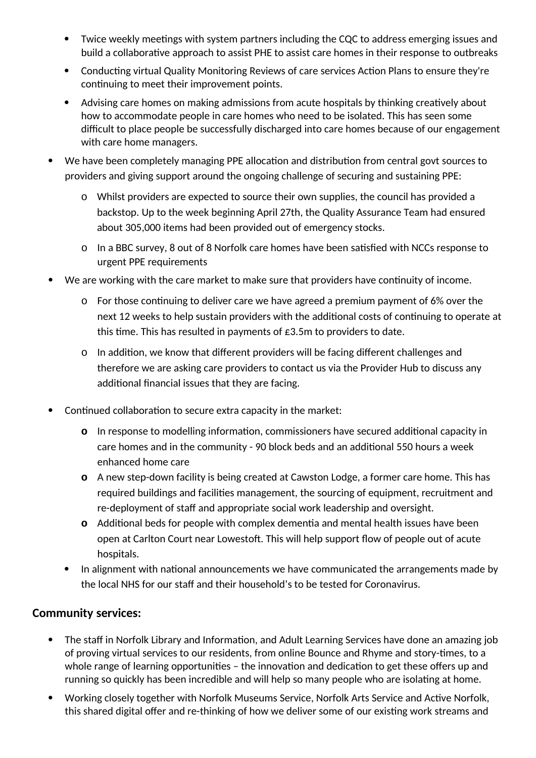- Twice weekly meetings with system partners including the CQC to address emerging issues and build a collaborative approach to assist PHE to assist care homes in their response to outbreaks
- Conducting virtual Quality Monitoring Reviews of care services Action Plans to ensure they're continuing to meet their improvement points.
- Advising care homes on making admissions from acute hospitals by thinking creatively about how to accommodate people in care homes who need to be isolated. This has seen some difficult to place people be successfully discharged into care homes because of our engagement with care home managers.
- We have been completely managing PPE allocation and distribution from central govt sources to providers and giving support around the ongoing challenge of securing and sustaining PPE:
	- o Whilst providers are expected to source their own supplies, the council has provided a backstop. Up to the week beginning April 27th, the Quality Assurance Team had ensured about 305,000 items had been provided out of emergency stocks.
	- o In a BBC survey, 8 out of 8 Norfolk care homes have been satisfied with NCCs response to urgent PPE requirements
- We are working with the care market to make sure that providers have continuity of income.
	- o For those continuing to deliver care we have agreed a premium payment of 6% over the next 12 weeks to help sustain providers with the additional costs of continuing to operate at this time. This has resulted in payments of  $£3.5m$  to providers to date.
	- o In addition, we know that different providers will be facing different challenges and therefore we are asking care providers to contact us via the Provider Hub to discuss any additional financial issues that they are facing.
- Continued collaboration to secure extra capacity in the market:
	- **o** In response to modelling information, commissioners have secured additional capacity in care homes and in the community - 90 block beds and an additional 550 hours a week enhanced home care
	- **o** A new step-down facility is being created at Cawston Lodge, a former care home. This has required buildings and facilities management, the sourcing of equipment, recruitment and re-deployment of staff and appropriate social work leadership and oversight.
	- **o** Additional beds for people with complex dementia and mental health issues have been open at Carlton Court near Lowestoft. This will help support flow of people out of acute hospitals.
	- In alignment with national announcements we have communicated the arrangements made by the local NHS for our staff and their household's to be tested for Coronavirus.

#### **Community services:**

- The staff in Norfolk Library and Information, and Adult Learning Services have done an amazing job of proving virtual services to our residents, from online Bounce and Rhyme and story-times, to a whole range of learning opportunities – the innovation and dedication to get these offers up and running so quickly has been incredible and will help so many people who are isolating at home.
- Working closely together with Norfolk Museums Service, Norfolk Arts Service and Active Norfolk, this shared digital offer and re-thinking of how we deliver some of our existing work streams and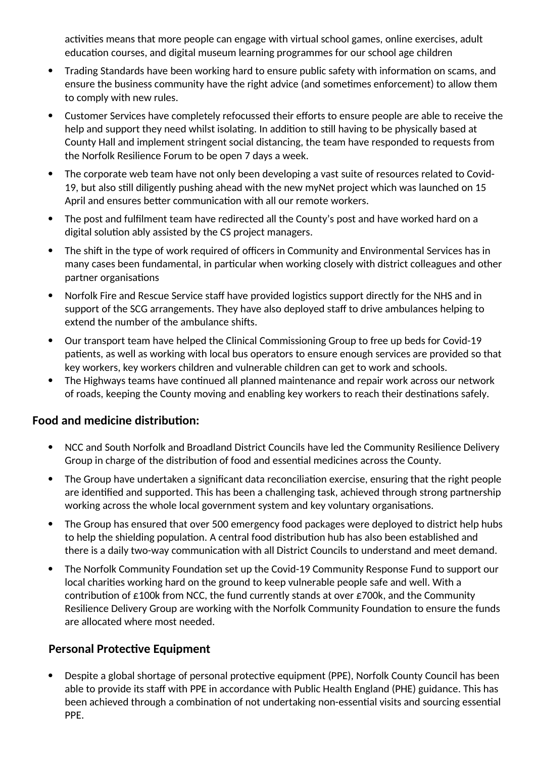activities means that more people can engage with virtual school games, online exercises, adult education courses, and digital museum learning programmes for our school age children

- Trading Standards have been working hard to ensure public safety with information on scams, and ensure the business community have the right advice (and sometimes enforcement) to allow them to comply with new rules.
- Customer Services have completely refocussed their efforts to ensure people are able to receive the help and support they need whilst isolating. In addition to still having to be physically based at County Hall and implement stringent social distancing, the team have responded to requests from the Norfolk Resilience Forum to be open 7 days a week.
- The corporate web team have not only been developing a vast suite of resources related to Covid-19, but also still diligently pushing ahead with the new myNet project which was launched on 15 April and ensures better communication with all our remote workers.
- The post and fulfilment team have redirected all the County's post and have worked hard on a digital solution ably assisted by the CS project managers.
- The shift in the type of work required of officers in Community and Environmental Services has in many cases been fundamental, in particular when working closely with district colleagues and other partner organisations
- Norfolk Fire and Rescue Service staff have provided logistics support directly for the NHS and in support of the SCG arrangements. They have also deployed staff to drive ambulances helping to extend the number of the ambulance shifts.
- Our transport team have helped the Clinical Commissioning Group to free up beds for Covid-19 patients, as well as working with local bus operators to ensure enough services are provided so that key workers, key workers children and vulnerable children can get to work and schools.
- The Highways teams have continued all planned maintenance and repair work across our network of roads, keeping the County moving and enabling key workers to reach their destinations safely.

#### **Food and medicine distribution:**

- NCC and South Norfolk and Broadland District Councils have led the Community Resilience Delivery Group in charge of the distribution of food and essential medicines across the County.
- The Group have undertaken a significant data reconciliation exercise, ensuring that the right people are identified and supported. This has been a challenging task, achieved through strong partnership working across the whole local government system and key voluntary organisations.
- The Group has ensured that over 500 emergency food packages were deployed to district help hubs to help the shielding population. A central food distribution hub has also been established and there is a daily two-way communication with all District Councils to understand and meet demand.
- The Norfolk Community Foundation set up the Covid-19 Community Response Fund to support our local charities working hard on the ground to keep vulnerable people safe and well. With a contribution of  $\epsilon$ 100k from NCC, the fund currently stands at over  $\epsilon$ 700k, and the Community Resilience Delivery Group are working with the Norfolk Community Foundation to ensure the funds are allocated where most needed.

#### **Personal Protective Equipment**

 Despite a global shortage of personal protective equipment (PPE), Norfolk County Council has been able to provide its staff with PPE in accordance with Public Health England (PHE) guidance. This has been achieved through a combination of not undertaking non-essential visits and sourcing essential PPE.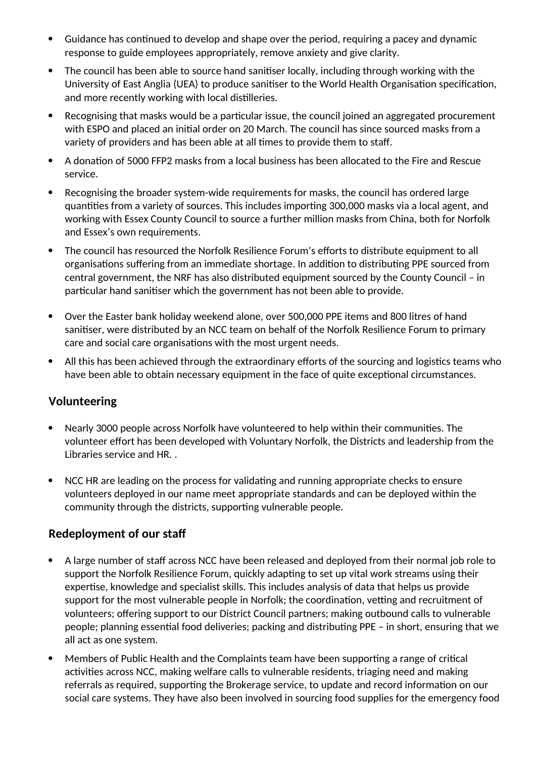- Guidance has continued to develop and shape over the period, requiring a pacey and dynamic response to guide employees appropriately, remove anxiety and give clarity.
- The council has been able to source hand sanitiser locally, including through working with the University of East Anglia (UEA) to produce sanitiser to the World Health Organisation specification, and more recently working with local distilleries.
- Recognising that masks would be a particular issue, the council joined an aggregated procurement with ESPO and placed an initial order on 20 March. The council has since sourced masks from a variety of providers and has been able at all times to provide them to staff.
- A donation of 5000 FFP2 masks from a local business has been allocated to the Fire and Rescue service.
- Recognising the broader system-wide requirements for masks, the council has ordered large quantities from a variety of sources. This includes importing 300,000 masks via a local agent, and working with Essex County Council to source a further million masks from China, both for Norfolk and Essex's own requirements.
- The council has resourced the Norfolk Resilience Forum's efforts to distribute equipment to all organisations suffering from an immediate shortage. In addition to distributing PPE sourced from central government, the NRF has also distributed equipment sourced by the County Council – in particular hand sanitiser which the government has not been able to provide.
- Over the Easter bank holiday weekend alone, over 500,000 PPE items and 800 litres of hand sanitiser, were distributed by an NCC team on behalf of the Norfolk Resilience Forum to primary care and social care organisations with the most urgent needs.
- All this has been achieved through the extraordinary efforts of the sourcing and logistics teams who have been able to obtain necessary equipment in the face of quite exceptional circumstances.

#### **Volunteering**

- Nearly 3000 people across Norfolk have volunteered to help within their communities. The volunteer effort has been developed with Voluntary Norfolk, the Districts and leadership from the Libraries service and HR. .
- NCC HR are leading on the process for validating and running appropriate checks to ensure volunteers deployed in our name meet appropriate standards and can be deployed within the community through the districts, supporting vulnerable people.

#### **Redeployment of our staff**

- A large number of staff across NCC have been released and deployed from their normal job role to support the Norfolk Resilience Forum, quickly adapting to set up vital work streams using their expertise, knowledge and specialist skills. This includes analysis of data that helps us provide support for the most vulnerable people in Norfolk; the coordination, vetting and recruitment of volunteers; offering support to our District Council partners; making outbound calls to vulnerable people; planning essential food deliveries; packing and distributing PPE – in short, ensuring that we all act as one system.
- Members of Public Health and the Complaints team have been supporting a range of critical activities across NCC, making welfare calls to vulnerable residents, triaging need and making referrals as required, supporting the Brokerage service, to update and record information on our social care systems. They have also been involved in sourcing food supplies for the emergency food